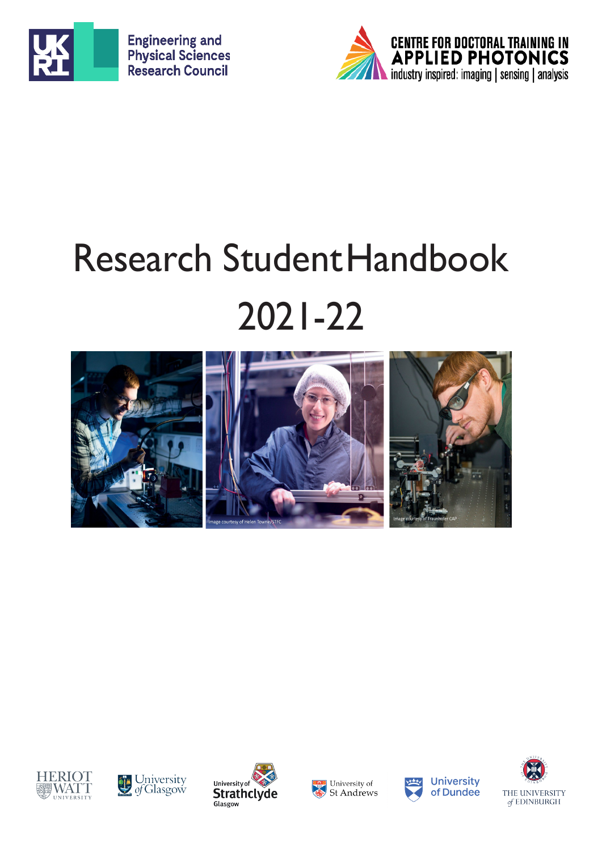



# Research StudentHandbook 2021-22















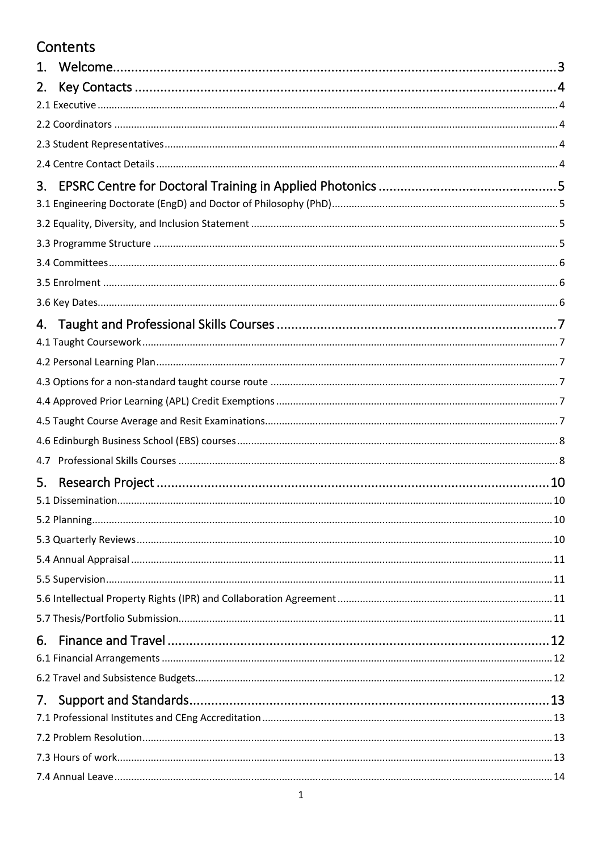## Contents

| 1 <sub>1</sub> |  |
|----------------|--|
| 2.             |  |
|                |  |
|                |  |
|                |  |
|                |  |
| 3.             |  |
|                |  |
|                |  |
|                |  |
|                |  |
|                |  |
|                |  |
| 4.             |  |
|                |  |
|                |  |
|                |  |
|                |  |
|                |  |
|                |  |
| 4.7            |  |
| 5.             |  |
|                |  |
|                |  |
|                |  |
|                |  |
|                |  |
|                |  |
|                |  |
| 6.             |  |
|                |  |
|                |  |
| 7.             |  |
|                |  |
|                |  |
|                |  |
|                |  |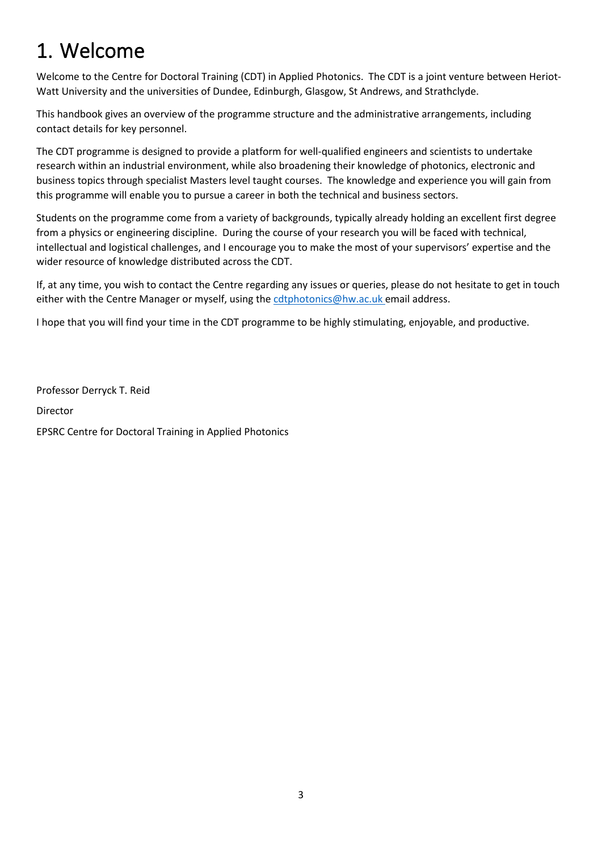# <span id="page-3-0"></span>1. Welcome

Welcome to the Centre for Doctoral Training (CDT) in Applied Photonics. The CDT is a joint venture between Heriot-Watt University and the universities of Dundee, Edinburgh, Glasgow, St Andrews, and Strathclyde.

This handbook gives an overview of the programme structure and the administrative arrangements, including contact details for key personnel.

The CDT programme is designed to provide a platform for well-qualified engineers and scientists to undertake research within an industrial environment, while also broadening their knowledge of photonics, electronic and business topics through specialist Masters level taught courses. The knowledge and experience you will gain from this programme will enable you to pursue a career in both the technical and business sectors.

Students on the programme come from a variety of backgrounds, typically already holding an excellent first degree from a physics or engineering discipline. During the course of your research you will be faced with technical, intellectual and logistical challenges, and I encourage you to make the most of your supervisors' expertise and the wider resource of knowledge distributed across the CDT.

If, at any time, you wish to contact the Centre regarding any issues or queries, please do not hesitate to get in touch either with the Centre Manager or myself, using th[e cdtphotonics@hw.ac.uk e](mailto:cdtphotonics@hw.ac.uk)mail address.

I hope that you will find your time in the CDT programme to be highly stimulating, enjoyable, and productive.

Professor Derryck T. Reid Director EPSRC Centre for Doctoral Training in Applied Photonics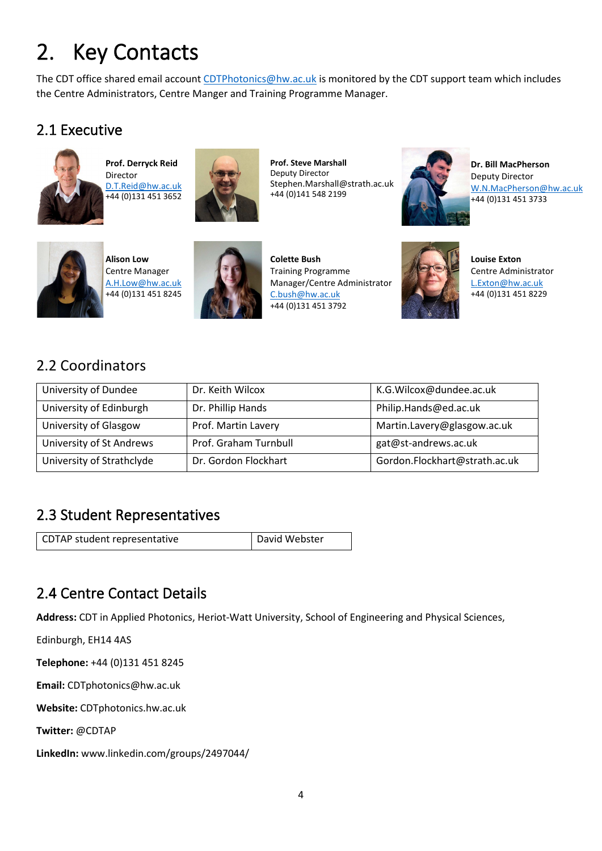# <span id="page-4-0"></span>2. Key Contacts

The CDT office shared email account [CDTPhotonics@hw.ac.uk](mailto:CDTPhotonics@hw.ac.uk) is monitored by the CDT support team which includes the Centre Administrators, Centre Manger and Training Programme Manager.

#### <span id="page-4-1"></span>2.1 Executive



**Prof. Derryck Reid** Director [D.T.Reid@hw.ac.uk](mailto:D.T.Reid@hw.ac.uk) +44 (0)131 451 3652



**Prof. Steve Marshall** Deputy Director Stephen.Marshall@strath.ac.uk +44 (0)141 548 2199



**Dr. Bill MacPherson** Deputy Director [W.N.MacPherson@hw.ac.uk](mailto:W.N.MacPherson@hw.ac.uk) +44 (0)131 451 3733



**Alison Low** Centre Manager [A.H.Low@hw.ac.uk](mailto:A.H.Low@hw.ac.uk) +44 (0)131 451 8245



**Colette Bush** Training Programme Manager/Centre Administrator [C.bush@hw.ac.uk](mailto:C.bush@hw.ac.uk) +44 (0)131 451 3792



**Louise Exton** Centre Administrator [L.Exton@hw.ac.uk](mailto:L.Exton@hw.ac.uk) +44 (0)131 451 8229

#### <span id="page-4-2"></span>2.2 Coordinators

| University of Dundee      | Dr. Keith Wilcox      | K.G. Wilcox@dundee.ac.uk      |
|---------------------------|-----------------------|-------------------------------|
| University of Edinburgh   | Dr. Phillip Hands     | Philip.Hands@ed.ac.uk         |
| University of Glasgow     | Prof. Martin Lavery   | Martin.Lavery@glasgow.ac.uk   |
| University of St Andrews  | Prof. Graham Turnbull | gat@st-andrews.ac.uk          |
| University of Strathclyde | Dr. Gordon Flockhart  | Gordon.Flockhart@strath.ac.uk |

#### <span id="page-4-3"></span>2.3 Student Representatives

CDTAP student representative **David Webster** 

## <span id="page-4-4"></span>2.4 Centre Contact Details

**Address:** CDT in Applied Photonics, Heriot-Watt University, School of Engineering and Physical Sciences,

Edinburgh, EH14 4AS

**Telephone:** +44 (0)131 451 8245

**Email:** CDTphotonics@hw.ac.uk

**Website:** CDTphotonics.hw.ac.uk

**Twitter:** @CDTAP

**LinkedIn:** www.linkedin.com/groups/2497044/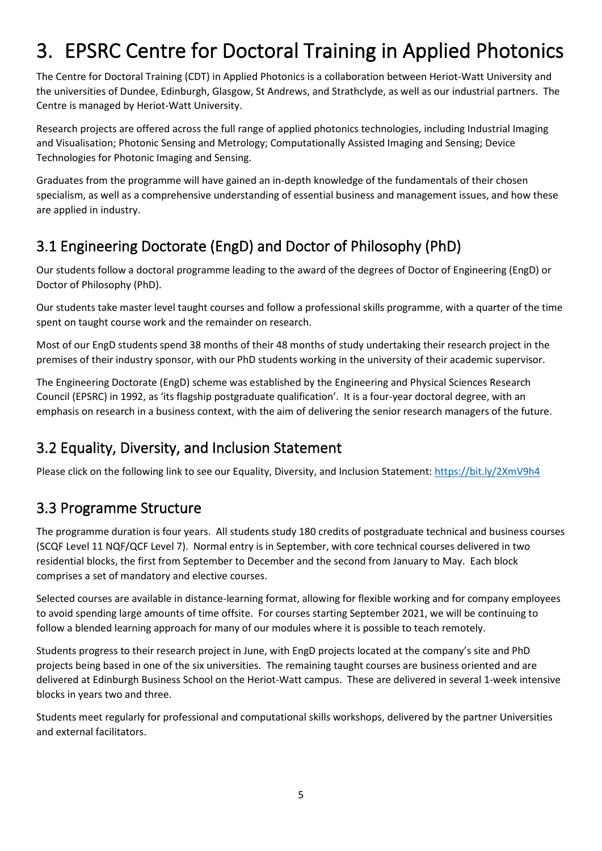# <span id="page-5-0"></span>3. EPSRC Centre for Doctoral Training in Applied Photonics

The Centre for Doctoral Training (CDT) in Applied Photonics is a collaboration between Heriot-Watt University and the universities of Dundee, Edinburgh, Glasgow, St Andrews, and Strathclyde, as well as our industrial partners. The Centre is managed by Heriot-Watt University.

Research projects are offered across the full range of applied photonics technologies, including Industrial Imaging and Visualisation; Photonic Sensing and Metrology; Computationally Assisted Imaging and Sensing; Device Technologies for Photonic Imaging and Sensing.

Graduates from the programme will have gained an in-depth knowledge of the fundamentals of their chosen specialism, as well as a comprehensive understanding of essential business and management issues, and how these are applied in industry.

# <span id="page-5-1"></span>3.1 Engineering Doctorate (EngD) and Doctor of Philosophy (PhD)

Our students follow a doctoral programme leading to the award of the degrees of Doctor of Engineering (EngD) or Doctor of Philosophy (PhD).

Our students take master level taught courses and follow a professional skills programme, with a quarter of the time spent on taught course work and the remainder on research.

Most of our EngD students spend 38 months of their 48 months of study undertaking their research project in the premises of their industry sponsor, with our PhD students working in the university of their academic supervisor.

The Engineering Doctorate (EngD) scheme was established by the Engineering and Physical Sciences Research Council (EPSRC) in 1992, as 'its flagship postgraduate qualification'. It is a four-year doctoral degree, with an emphasis on research in a business context, with the aim of delivering the senior research managers of the future.

## <span id="page-5-2"></span>3.2 Equality, Diversity, and Inclusion Statement

Please click on the following link to see our Equality, Diversity, and Inclusion Statement:<https://bit.ly/2XmV9h4>

#### <span id="page-5-3"></span>3.3 Programme Structure

The programme duration is four years. All students study 180 credits of postgraduate technical and business courses (SCQF Level 11 NQF/QCF Level 7). Normal entry is in September, with core technical courses delivered in two residential blocks, the first from September to December and the second from January to May. Each block comprises a set of mandatory and elective courses.

Selected courses are available in distance-learning format, allowing for flexible working and for company employees to avoid spending large amounts of time offsite. For courses starting September 2021, we will be continuing to follow a blended learning approach for many of our modules where it is possible to teach remotely.

Students progress to their research project in June, with EngD projects located at the company's site and PhD projects being based in one of the six universities. The remaining taught courses are business oriented and are delivered at Edinburgh Business School on the Heriot-Watt campus. These are delivered in several 1-week intensive blocks in years two and three.

Students meet regularly for professional and computational skills workshops, delivered by the partner Universities and external facilitators.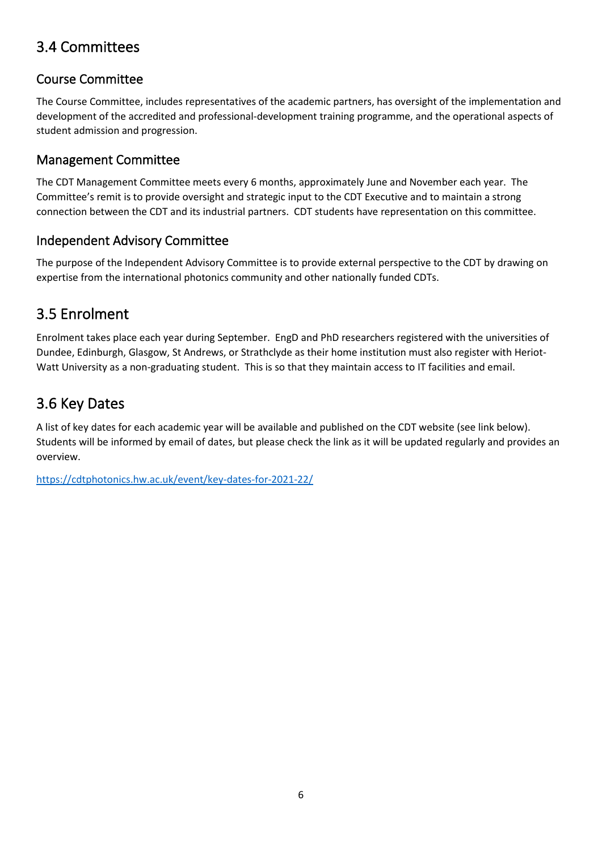#### <span id="page-6-0"></span>3.4 Committees

#### Course Committee

The Course Committee, includes representatives of the academic partners, has oversight of the implementation and development of the accredited and professional-development training programme, and the operational aspects of student admission and progression.

#### Management Committee

The CDT Management Committee meets every 6 months, approximately June and November each year. The Committee's remit is to provide oversight and strategic input to the CDT Executive and to maintain a strong connection between the CDT and its industrial partners. CDT students have representation on this committee.

#### Independent Advisory Committee

The purpose of the Independent Advisory Committee is to provide external perspective to the CDT by drawing on expertise from the international photonics community and other nationally funded CDTs.

## <span id="page-6-1"></span>3.5 Enrolment

Enrolment takes place each year during September. EngD and PhD researchers registered with the universities of Dundee, Edinburgh, Glasgow, St Andrews, or Strathclyde as their home institution must also register with Heriot-Watt University as a non-graduating student. This is so that they maintain access to IT facilities and email.

#### <span id="page-6-2"></span>3.6 Key Dates

A list of key dates for each academic year will be available and published on the CDT website (see link below). Students will be informed by email of dates, but please check the link as it will be updated regularly and provides an overview.

<https://cdtphotonics.hw.ac.uk/event/key-dates-for-2021-22/>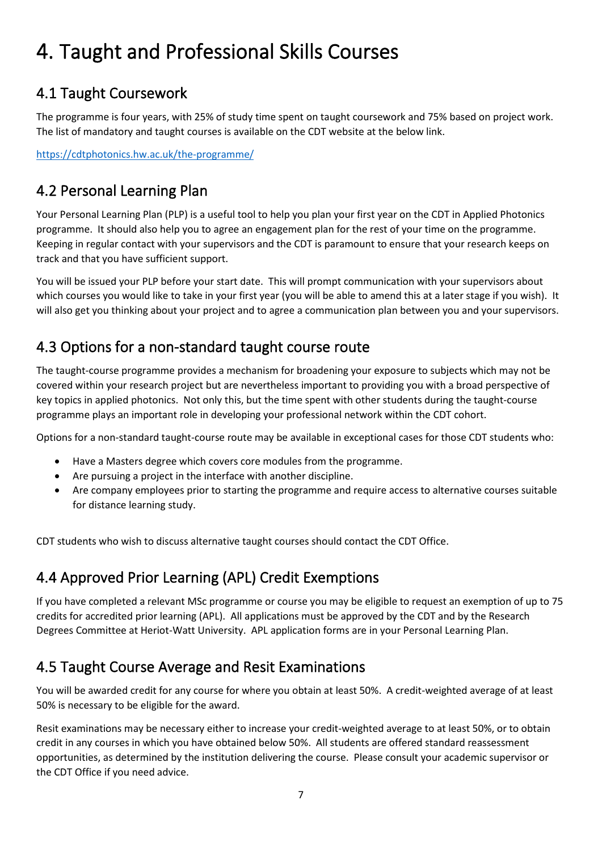# <span id="page-7-0"></span>4. Taught and Professional Skills Courses

#### <span id="page-7-1"></span>4.1 Taught Coursework

The programme is four years, with 25% of study time spent on taught coursework and 75% based on project work. The list of mandatory and taught courses is available on the CDT website at the below link.

<https://cdtphotonics.hw.ac.uk/the-programme/>

#### <span id="page-7-2"></span>4.2 Personal Learning Plan

Your Personal Learning Plan (PLP) is a useful tool to help you plan your first year on the CDT in Applied Photonics programme. It should also help you to agree an engagement plan for the rest of your time on the programme. Keeping in regular contact with your supervisors and the CDT is paramount to ensure that your research keeps on track and that you have sufficient support.

You will be issued your PLP before your start date. This will prompt communication with your supervisors about which courses you would like to take in your first year (you will be able to amend this at a later stage if you wish). It will also get you thinking about your project and to agree a communication plan between you and your supervisors.

#### <span id="page-7-3"></span>4.3 Options for a non-standard taught course route

The taught-course programme provides a mechanism for broadening your exposure to subjects which may not be covered within your research project but are nevertheless important to providing you with a broad perspective of key topics in applied photonics. Not only this, but the time spent with other students during the taught-course programme plays an important role in developing your professional network within the CDT cohort.

Options for a non-standard taught-course route may be available in exceptional cases for those CDT students who:

- Have a Masters degree which covers core modules from the programme.
- Are pursuing a project in the interface with another discipline.
- Are company employees prior to starting the programme and require access to alternative courses suitable for distance learning study.

CDT students who wish to discuss alternative taught courses should contact the CDT Office.

## <span id="page-7-4"></span>4.4 Approved Prior Learning (APL) Credit Exemptions

If you have completed a relevant MSc programme or course you may be eligible to request an exemption of up to 75 credits for accredited prior learning (APL). All applications must be approved by the CDT and by the Research Degrees Committee at Heriot-Watt University. APL application forms are in your Personal Learning Plan.

#### <span id="page-7-5"></span>4.5 Taught Course Average and Resit Examinations

You will be awarded credit for any course for where you obtain at least 50%. A credit-weighted average of at least 50% is necessary to be eligible for the award.

Resit examinations may be necessary either to increase your credit-weighted average to at least 50%, or to obtain credit in any courses in which you have obtained below 50%. All students are offered standard reassessment opportunities, as determined by the institution delivering the course. Please consult your academic supervisor or the CDT Office if you need advice.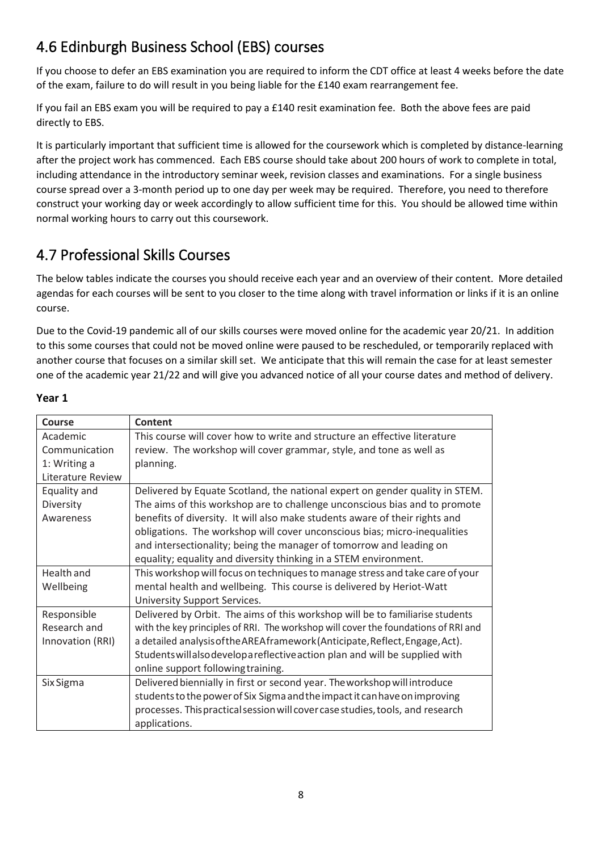# <span id="page-8-0"></span>4.6 Edinburgh Business School (EBS) courses

If you choose to defer an EBS examination you are required to inform the CDT office at least 4 weeks before the date of the exam, failure to do will result in you being liable for the £140 exam rearrangement fee.

If you fail an EBS exam you will be required to pay a £140 resit examination fee. Both the above fees are paid directly to EBS.

It is particularly important that sufficient time is allowed for the coursework which is completed by distance-learning after the project work has commenced. Each EBS course should take about 200 hours of work to complete in total, including attendance in the introductory seminar week, revision classes and examinations. For a single business course spread over a 3-month period up to one day per week may be required. Therefore, you need to therefore construct your working day or week accordingly to allow sufficient time for this. You should be allowed time within normal working hours to carry out this coursework.

## <span id="page-8-1"></span>4.7 Professional Skills Courses

The below tables indicate the courses you should receive each year and an overview of their content. More detailed agendas for each courses will be sent to you closer to the time along with travel information or links if it is an online course.

Due to the Covid-19 pandemic all of our skills courses were moved online for the academic year 20/21. In addition to this some courses that could not be moved online were paused to be rescheduled, or temporarily replaced with another course that focuses on a similar skill set. We anticipate that this will remain the case for at least semester one of the academic year 21/22 and will give you advanced notice of all your course dates and method of delivery.

#### **Year 1**

| Course            | Content                                                                            |
|-------------------|------------------------------------------------------------------------------------|
| Academic          | This course will cover how to write and structure an effective literature          |
| Communication     | review. The workshop will cover grammar, style, and tone as well as                |
| 1: Writing a      | planning.                                                                          |
| Literature Review |                                                                                    |
| Equality and      | Delivered by Equate Scotland, the national expert on gender quality in STEM.       |
| Diversity         | The aims of this workshop are to challenge unconscious bias and to promote         |
| Awareness         | benefits of diversity. It will also make students aware of their rights and        |
|                   | obligations. The workshop will cover unconscious bias; micro-inequalities          |
|                   | and intersectionality; being the manager of tomorrow and leading on                |
|                   | equality; equality and diversity thinking in a STEM environment.                   |
| Health and        | This workshop will focus on techniques to manage stress and take care of your      |
| Wellbeing         | mental health and wellbeing. This course is delivered by Heriot-Watt               |
|                   | University Support Services.                                                       |
| Responsible       | Delivered by Orbit. The aims of this workshop will be to familiarise students      |
| Research and      | with the key principles of RRI. The workshop will cover the foundations of RRI and |
| Innovation (RRI)  | a detailed analysis of the AREA framework (Anticipate, Reflect, Engage, Act).      |
|                   | Students will also develop a reflective action plan and will be supplied with      |
|                   | online support following training.                                                 |
| Six Sigma         | Delivered biennially in first or second year. The workshop will introduce          |
|                   | students to the power of Six Sigma and the impact it can have on improving         |
|                   | processes. This practical session will cover case studies, tools, and research     |
|                   | applications.                                                                      |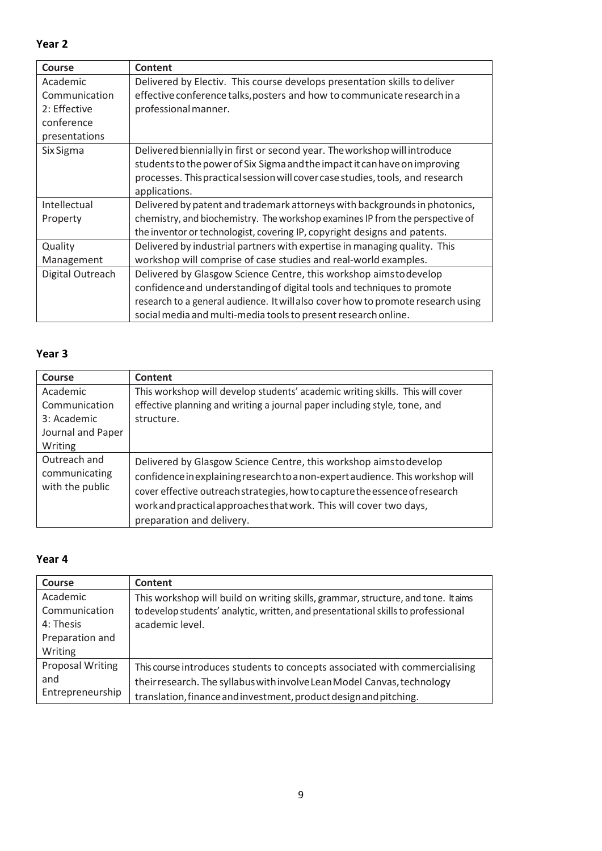**Year 2**

| Course           | Content                                                                          |
|------------------|----------------------------------------------------------------------------------|
| Academic         | Delivered by Electiv. This course develops presentation skills to deliver        |
| Communication    | effective conference talks, posters and how to communicate research in a         |
| 2: Effective     | professional manner.                                                             |
| conference       |                                                                                  |
| presentations    |                                                                                  |
| Six Sigma        | Delivered biennially in first or second year. The workshop will introduce        |
|                  | students to the power of Six Sigma and the impact it can have on improving       |
|                  | processes. This practical session will cover case studies, tools, and research   |
|                  | applications.                                                                    |
| Intellectual     | Delivered by patent and trademark attorneys with backgrounds in photonics,       |
| Property         | chemistry, and biochemistry. The workshop examines IP from the perspective of    |
|                  | the inventor or technologist, covering IP, copyright designs and patents.        |
| Quality          | Delivered by industrial partners with expertise in managing quality. This        |
| Management       | workshop will comprise of case studies and real-world examples.                  |
| Digital Outreach | Delivered by Glasgow Science Centre, this workshop aimstodevelop                 |
|                  | confidence and understanding of digital tools and techniques to promote          |
|                  | research to a general audience. It will also cover how to promote research using |
|                  | social media and multi-media tools to present research online.                   |

#### **Year 3**

| <b>Course</b>                                                            | Content                                                                                                                                                                                                                                                                                                                              |
|--------------------------------------------------------------------------|--------------------------------------------------------------------------------------------------------------------------------------------------------------------------------------------------------------------------------------------------------------------------------------------------------------------------------------|
| Academic<br>Communication<br>3: Academic<br>Journal and Paper<br>Writing | This workshop will develop students' academic writing skills. This will cover<br>effective planning and writing a journal paper including style, tone, and<br>structure.                                                                                                                                                             |
| Outreach and<br>communicating<br>with the public                         | Delivered by Glasgow Science Centre, this workshop aimstodevelop<br>confidence in explaining research to a non-expert audience. This workshop will<br>cover effective outreach strategies, how to capture the essence of research<br>work and practical approaches that work. This will cover two days,<br>preparation and delivery. |

#### **Year 4**

| <b>Course</b>                                                        | Content                                                                                                                                                                                                                     |
|----------------------------------------------------------------------|-----------------------------------------------------------------------------------------------------------------------------------------------------------------------------------------------------------------------------|
| Academic<br>Communication<br>4: Thesis<br>Preparation and<br>Writing | This workshop will build on writing skills, grammar, structure, and tone. It aims<br>to develop students' analytic, written, and presentational skills to professional<br>academic level.                                   |
| <b>Proposal Writing</b><br>and<br>Entrepreneurship                   | This course introduces students to concepts associated with commercialising<br>their research. The syllabus with involve Lean Model Canvas, technology<br>translation, finance and investment, product design and pitching. |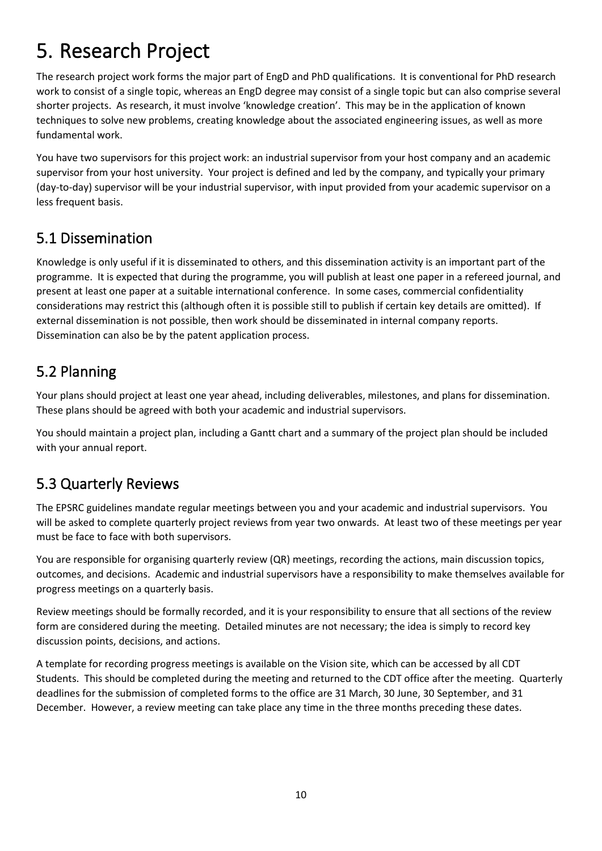# <span id="page-10-0"></span>5. Research Project

The research project work forms the major part of EngD and PhD qualifications. It is conventional for PhD research work to consist of a single topic, whereas an EngD degree may consist of a single topic but can also comprise several shorter projects. As research, it must involve 'knowledge creation'. This may be in the application of known techniques to solve new problems, creating knowledge about the associated engineering issues, as well as more fundamental work.

You have two supervisors for this project work: an industrial supervisor from your host company and an academic supervisor from your host university. Your project is defined and led by the company, and typically your primary (day-to-day) supervisor will be your industrial supervisor, with input provided from your academic supervisor on a less frequent basis.

#### <span id="page-10-1"></span>5.1 Dissemination

Knowledge is only useful if it is disseminated to others, and this dissemination activity is an important part of the programme. It is expected that during the programme, you will publish at least one paper in a refereed journal, and present at least one paper at a suitable international conference. In some cases, commercial confidentiality considerations may restrict this (although often it is possible still to publish if certain key details are omitted). If external dissemination is not possible, then work should be disseminated in internal company reports. Dissemination can also be by the patent application process.

# <span id="page-10-2"></span>5.2 Planning

Your plans should project at least one year ahead, including deliverables, milestones, and plans for dissemination. These plans should be agreed with both your academic and industrial supervisors.

You should maintain a project plan, including a Gantt chart and a summary of the project plan should be included with your annual report.

## <span id="page-10-3"></span>5.3 Quarterly Reviews

The EPSRC guidelines mandate regular meetings between you and your academic and industrial supervisors. You will be asked to complete quarterly project reviews from year two onwards. At least two of these meetings per year must be face to face with both supervisors.

You are responsible for organising quarterly review (QR) meetings, recording the actions, main discussion topics, outcomes, and decisions. Academic and industrial supervisors have a responsibility to make themselves available for progress meetings on a quarterly basis.

Review meetings should be formally recorded, and it is your responsibility to ensure that all sections of the review form are considered during the meeting. Detailed minutes are not necessary; the idea is simply to record key discussion points, decisions, and actions.

A template for recording progress meetings is available on the Vision site, which can be accessed by all CDT Students. This should be completed during the meeting and returned to the CDT office after the meeting. Quarterly deadlines for the submission of completed forms to the office are 31 March, 30 June, 30 September, and 31 December. However, a review meeting can take place any time in the three months preceding these dates.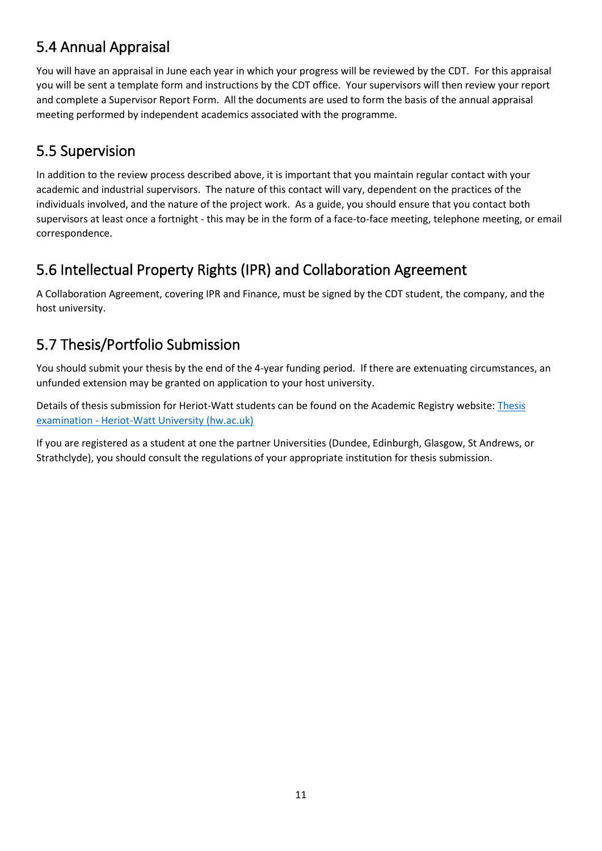#### <span id="page-11-0"></span>5.4 Annual Appraisal

You will have an appraisal in June each year in which your progress will be reviewed by the CDT. For this appraisal you will be sent a template form and instructions by the CDT office. Your supervisors will then review your report and complete a Supervisor Report Form. All the documents are used to form the basis of the annual appraisal meeting performed by independent academics associated with the programme.

#### <span id="page-11-1"></span>5.5 Supervision

In addition to the review process described above, it is important that you maintain regular contact with your academic and industrial supervisors. The nature of this contact will vary, dependent on the practices of the individuals involved, and the nature of the project work. As a guide, you should ensure that you contact both supervisors at least once a fortnight - this may be in the form of a face-to-face meeting, telephone meeting, or email correspondence.

# <span id="page-11-2"></span>5.6 Intellectual Property Rights (IPR) and Collaboration Agreement

A Collaboration Agreement, covering IPR and Finance, must be signed by the CDT student, the company, and the host university.

# <span id="page-11-3"></span>5.7 Thesis/Portfolio Submission

You should submit your thesis by the end of the 4-year funding period. If there are extenuating circumstances, an unfunded extension may be granted on application to your host university.

Details of thesis submission for Heriot-Watt students can be found on the Academic Registry website: [Thesis](https://www.hw.ac.uk/uk/students/studies/examinations/thesis-examination.htm)  [examination - Heriot-Watt University \(hw.ac.uk\)](https://www.hw.ac.uk/uk/students/studies/examinations/thesis-examination.htm)

If you are registered as a student at one the partner Universities (Dundee, Edinburgh, Glasgow, St Andrews, or Strathclyde), you should consult the regulations of your appropriate institution for thesis submission.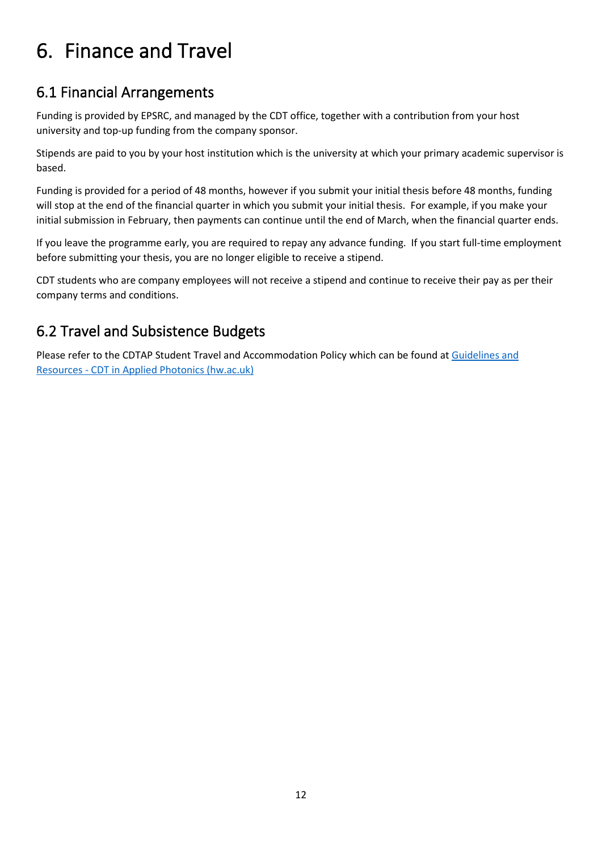# <span id="page-12-0"></span>6. Finance and Travel

#### <span id="page-12-1"></span>6.1 Financial Arrangements

Funding is provided by EPSRC, and managed by the CDT office, together with a contribution from your host university and top-up funding from the company sponsor.

Stipends are paid to you by your host institution which is the university at which your primary academic supervisor is based.

Funding is provided for a period of 48 months, however if you submit your initial thesis before 48 months, funding will stop at the end of the financial quarter in which you submit your initial thesis. For example, if you make your initial submission in February, then payments can continue until the end of March, when the financial quarter ends.

If you leave the programme early, you are required to repay any advance funding. If you start full-time employment before submitting your thesis, you are no longer eligible to receive a stipend.

CDT students who are company employees will not receive a stipend and continue to receive their pay as per their company terms and conditions.

#### <span id="page-12-2"></span>6.2 Travel and Subsistence Budgets

Please refer to the CDTAP Student Travel and Accommodation Policy which can be found at [Guidelines and](https://cdtphotonics.hw.ac.uk/guidelinesandresources/)  [Resources - CDT in Applied Photonics \(hw.ac.uk\)](https://cdtphotonics.hw.ac.uk/guidelinesandresources/)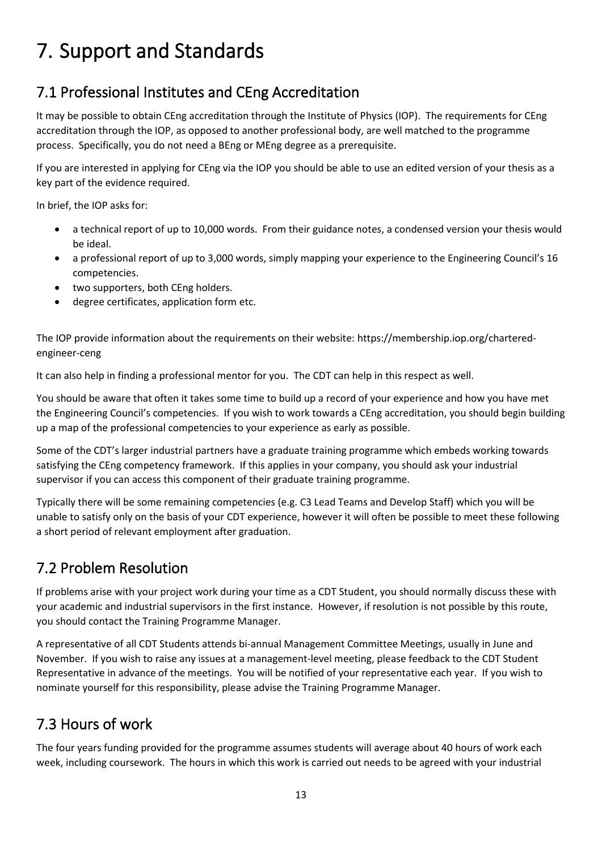# <span id="page-13-0"></span>7. Support and Standards

# <span id="page-13-1"></span>7.1 Professional Institutes and CEng Accreditation

It may be possible to obtain CEng accreditation through the Institute of Physics (IOP). The requirements for CEng accreditation through the IOP, as opposed to another professional body, are well matched to the programme process. Specifically, you do not need a BEng or MEng degree as a prerequisite.

If you are interested in applying for CEng via the IOP you should be able to use an edited version of your thesis as a key part of the evidence required.

In brief, the IOP asks for:

- a technical report of up to 10,000 words. From their guidance notes, a condensed version your thesis would be ideal.
- a professional report of up to 3,000 words, simply mapping your experience to the Engineering Council's 16 competencies.
- two supporters, both CEng holders.
- degree certificates, application form etc.

The IOP provide information about the requirements on their website: https://membership.iop.org/charteredengineer-ceng

It can also help in finding a professional mentor for you. The CDT can help in this respect as well.

You should be aware that often it takes some time to build up a record of your experience and how you have met the Engineering Council's competencies. If you wish to work towards a CEng accreditation, you should begin building up a map of the professional competencies to your experience as early as possible.

Some of the CDT's larger industrial partners have a graduate training programme which embeds working towards satisfying the CEng competency framework. If this applies in your company, you should ask your industrial supervisor if you can access this component of their graduate training programme.

Typically there will be some remaining competencies (e.g. C3 Lead Teams and Develop Staff) which you will be unable to satisfy only on the basis of your CDT experience, however it will often be possible to meet these following a short period of relevant employment after graduation.

## <span id="page-13-2"></span>7.2 Problem Resolution

If problems arise with your project work during your time as a CDT Student, you should normally discuss these with your academic and industrial supervisors in the first instance. However, if resolution is not possible by this route, you should contact the Training Programme Manager.

A representative of all CDT Students attends bi-annual Management Committee Meetings, usually in June and November. If you wish to raise any issues at a management-level meeting, please feedback to the CDT Student Representative in advance of the meetings. You will be notified of your representative each year. If you wish to nominate yourself for this responsibility, please advise the Training Programme Manager.

## <span id="page-13-3"></span>7.3 Hours of work

The four years funding provided for the programme assumes students will average about 40 hours of work each week, including coursework. The hours in which this work is carried out needs to be agreed with your industrial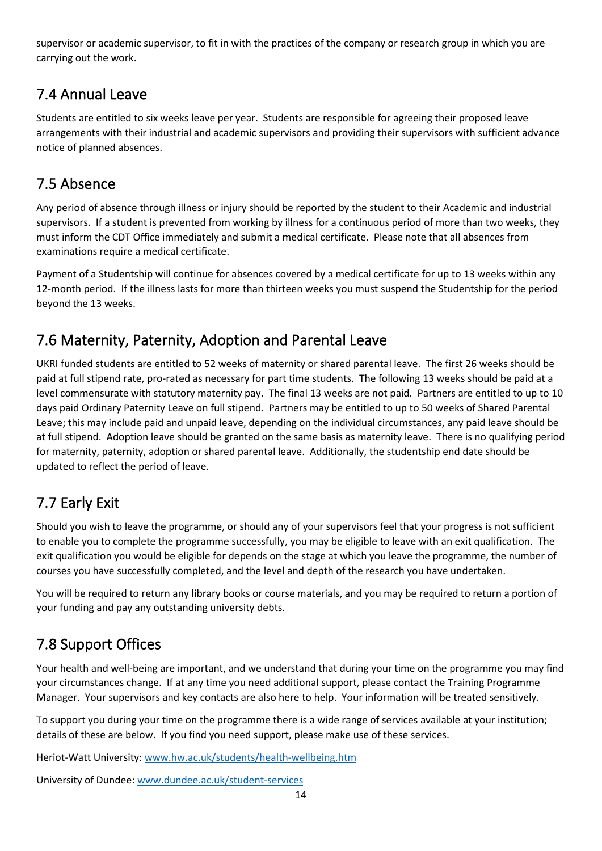supervisor or academic supervisor, to fit in with the practices of the company or research group in which you are carrying out the work.

## <span id="page-14-0"></span>7.4 Annual Leave

Students are entitled to six weeks leave per year. Students are responsible for agreeing their proposed leave arrangements with their industrial and academic supervisors and providing their supervisors with sufficient advance notice of planned absences.

#### <span id="page-14-1"></span>7.5 Absence

Any period of absence through illness or injury should be reported by the student to their Academic and industrial supervisors. If a student is prevented from working by illness for a continuous period of more than two weeks, they must inform the CDT Office immediately and submit a medical certificate. Please note that all absences from examinations require a medical certificate.

Payment of a Studentship will continue for absences covered by a medical certificate for up to 13 weeks within any 12-month period. If the illness lasts for more than thirteen weeks you must suspend the Studentship for the period beyond the 13 weeks.

## <span id="page-14-2"></span>7.6 Maternity, Paternity, Adoption and Parental Leave

UKRI funded students are entitled to 52 weeks of maternity or shared parental leave. The first 26 weeks should be paid at full stipend rate, pro-rated as necessary for part time students. The following 13 weeks should be paid at a level commensurate with statutory maternity pay. The final 13 weeks are not paid. Partners are entitled to up to 10 days paid Ordinary Paternity Leave on full stipend. Partners may be entitled to up to 50 weeks of Shared Parental Leave; this may include paid and unpaid leave, depending on the individual circumstances, any paid leave should be at full stipend. Adoption leave should be granted on the same basis as maternity leave. There is no qualifying period for maternity, paternity, adoption or shared parental leave. Additionally, the studentship end date should be updated to reflect the period of leave.

# <span id="page-14-3"></span>7.7 Early Exit

Should you wish to leave the programme, or should any of your supervisors feel that your progress is not sufficient to enable you to complete the programme successfully, you may be eligible to leave with an exit qualification. The exit qualification you would be eligible for depends on the stage at which you leave the programme, the number of courses you have successfully completed, and the level and depth of the research you have undertaken.

You will be required to return any library books or course materials, and you may be required to return a portion of your funding and pay any outstanding university debts.

# <span id="page-14-4"></span>7.8 Support Offices

Your health and well-being are important, and we understand that during your time on the programme you may find your circumstances change. If at any time you need additional support, please contact the Training Programme Manager. Your supervisors and key contacts are also here to help. Your information will be treated sensitively.

To support you during your time on the programme there is a wide range of services available at your institution; details of these are below. If you find you need support, please make use of these services.

Heriot-Watt University: [www.hw.ac.uk/students/health-wellbeing.htm](http://www.hw.ac.uk/students/health-wellbeing.htm)

University of Dundee: [www.dundee.ac.uk/student-services](http://www.dundee.ac.uk/student-services)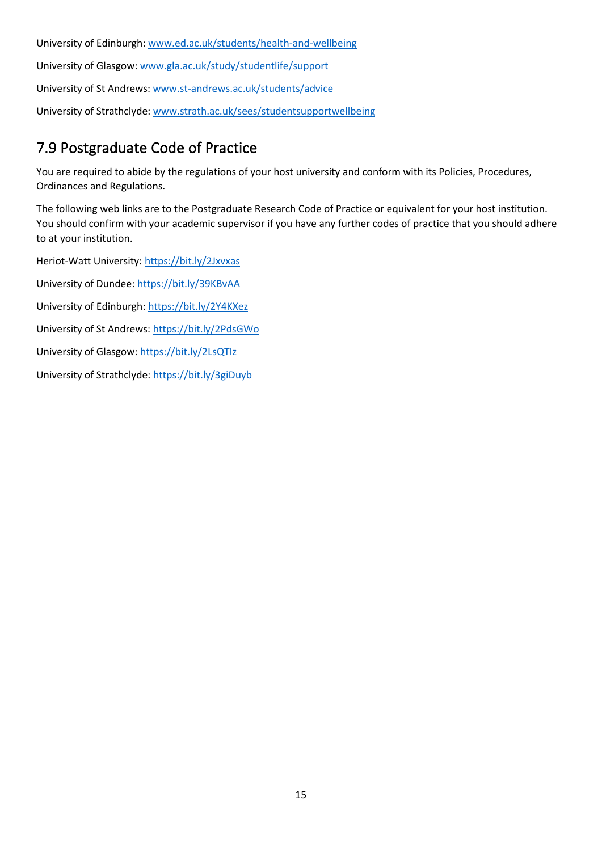University of Edinburgh: [www.ed.ac.uk/students/health-and-wellbeing](http://www.ed.ac.uk/students/health-and-wellbeing)

University of Glasgow: [www.gla.ac.uk/study/studentlife/support](http://www.gla.ac.uk/study/studentlife/support)

University of St Andrews: [www.st-andrews.ac.uk/students/advice](http://www.st-andrews.ac.uk/students/advice)

University of Strathclyde: [www.strath.ac.uk/sees/studentsupportwellbeing](http://www.strath.ac.uk/sees/studentsupportwellbeing)

#### <span id="page-15-0"></span>7.9 Postgraduate Code of Practice

You are required to abide by the regulations of your host university and conform with its Policies, Procedures, Ordinances and Regulations.

The following web links are to the Postgraduate Research Code of Practice or equivalent for your host institution. You should confirm with your academic supervisor if you have any further codes of practice that you should adhere to at your institution.

Heriot-Watt University: <https://bit.ly/2Jxvxas>

University of Dundee: <https://bit.ly/39KBvAA>

University of Edinburgh[: https://bit.ly/2Y4KXez](https://bit.ly/2Y4KXez)

University of St Andrews:<https://bit.ly/2PdsGWo>

University of Glasgow[: https://bit.ly/2LsQTIz](https://bit.ly/2LsQTIz)

University of Strathclyde:<https://bit.ly/3giDuyb>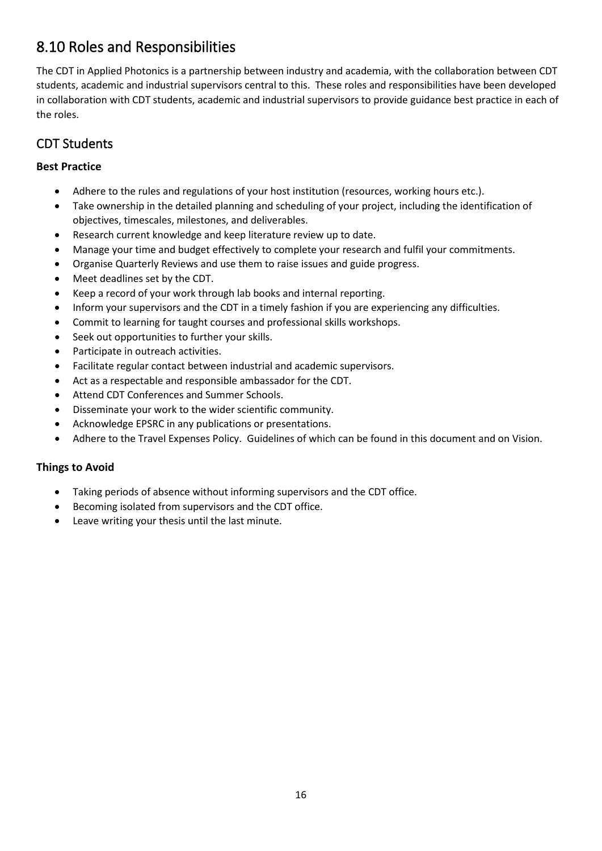#### <span id="page-16-0"></span>8.10 Roles and Responsibilities

The CDT in Applied Photonics is a partnership between industry and academia, with the collaboration between CDT students, academic and industrial supervisors central to this. These roles and responsibilities have been developed in collaboration with CDT students, academic and industrial supervisors to provide guidance best practice in each of the roles.

#### CDT Students

#### **Best Practice**

- Adhere to the rules and regulations of your host institution (resources, working hours etc.).
- Take ownership in the detailed planning and scheduling of your project, including the identification of objectives, timescales, milestones, and deliverables.
- Research current knowledge and keep literature review up to date.
- Manage your time and budget effectively to complete your research and fulfil your commitments.
- Organise Quarterly Reviews and use them to raise issues and guide progress.
- Meet deadlines set by the CDT.
- Keep a record of your work through lab books and internal reporting.
- Inform your supervisors and the CDT in a timely fashion if you are experiencing any difficulties.
- Commit to learning for taught courses and professional skills workshops.
- Seek out opportunities to further your skills.
- Participate in outreach activities.
- Facilitate regular contact between industrial and academic supervisors.
- Act as a respectable and responsible ambassador for the CDT.
- Attend CDT Conferences and Summer Schools.
- Disseminate your work to the wider scientific community.
- Acknowledge EPSRC in any publications or presentations.
- Adhere to the Travel Expenses Policy. Guidelines of which can be found in this document and on Vision.

#### **Things to Avoid**

- Taking periods of absence without informing supervisors and the CDT office.
- Becoming isolated from supervisors and the CDT office.
- Leave writing your thesis until the last minute.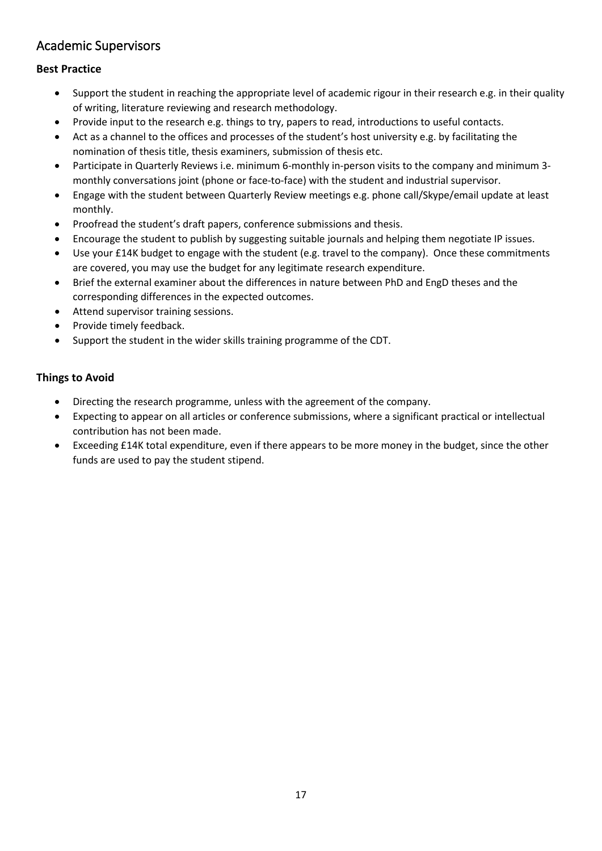#### Academic Supervisors

#### **Best Practice**

- Support the student in reaching the appropriate level of academic rigour in their research e.g. in their quality of writing, literature reviewing and research methodology.
- Provide input to the research e.g. things to try, papers to read, introductions to useful contacts.
- Act as a channel to the offices and processes of the student's host university e.g. by facilitating the nomination of thesis title, thesis examiners, submission of thesis etc.
- Participate in Quarterly Reviews i.e. minimum 6-monthly in-person visits to the company and minimum 3 monthly conversations joint (phone or face-to-face) with the student and industrial supervisor.
- Engage with the student between Quarterly Review meetings e.g. phone call/Skype/email update at least monthly.
- Proofread the student's draft papers, conference submissions and thesis.
- Encourage the student to publish by suggesting suitable journals and helping them negotiate IP issues.
- Use your £14K budget to engage with the student (e.g. travel to the company). Once these commitments are covered, you may use the budget for any legitimate research expenditure.
- Brief the external examiner about the differences in nature between PhD and EngD theses and the corresponding differences in the expected outcomes.
- Attend supervisor training sessions.
- Provide timely feedback.
- Support the student in the wider skills training programme of the CDT.

#### **Things to Avoid**

- Directing the research programme, unless with the agreement of the company.
- Expecting to appear on all articles or conference submissions, where a significant practical or intellectual contribution has not been made.
- Exceeding £14K total expenditure, even if there appears to be more money in the budget, since the other funds are used to pay the student stipend.